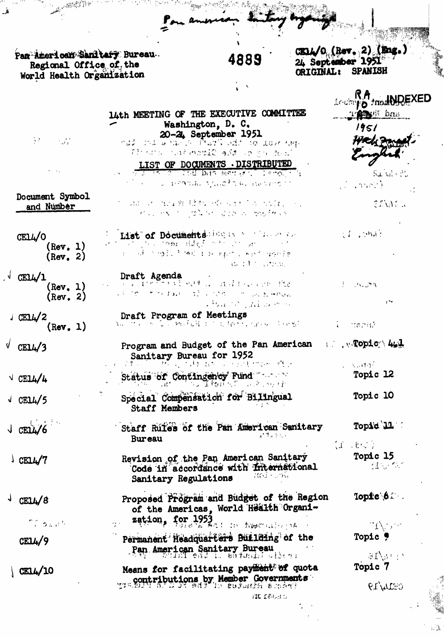Pan American Sanitary Bureau.<br>Regional Office of the<br>World Health Organization

## 4889

 $\frac{1}{4}$  $\overline{\mathbf{A}}$ 

西良

Đ.

CELL/O (Rev. 2) (Eng.)<br>24 September 1951<br>ORIGINAL: SPANISH

|                                             | 14th MEETING OF THE EXECUTIVE COMMITTEE                                                                                                                                                        | The Man bas                                                                               |
|---------------------------------------------|------------------------------------------------------------------------------------------------------------------------------------------------------------------------------------------------|-------------------------------------------------------------------------------------------|
| $\mathcal{M}=\{M\}$                         | Washington, D. C.<br>20-21 September 1951<br>ndd ind Brail, C. Parti idd in door tug.                                                                                                          | 1951                                                                                      |
|                                             | そだいのう こいぼうせいせん うぎまつう アクール が<br>LIST OF DOCUMENTS . DISTRIBUTED                                                                                                                                 |                                                                                           |
|                                             | STUDIES OF STAR DIES HISTORY OF LAPOLE 1<br>s angarata ajulota ku pedang n                                                                                                                     | Suivis Po<br><b>Control</b>                                                               |
| Document Symbol<br>and Number               | しばい けいななまぬ (読)がい げんらっとう はいしがおいいいい<br>Has exist galaxies account and these                                                                                                                      | CEAME A                                                                                   |
| CELL/O<br>(Rev. 1)                          | List of Documents legal state the component<br>no mesi digf nin on se conti                                                                                                                    | of conat                                                                                  |
| (Rev, 2)                                    | 医三月球 医动脉炎 医碘酸 电分布控制 人名科特 网络红色<br>a throughou                                                                                                                                                   |                                                                                           |
| CEJ <sub>4</sub> /1<br>(Rev. 1)<br>(Rev, 2) | Draft Agenda<br>Barbara Said and Barbara Str<br>CE TO CIT TE FALL ONE CONTO CON DUMINAVE<br>$\mathcal{L}^{\frac{1}{2}}$ be a set of $\mathcal{L}^{\infty}$ . The discrete set of $\mathcal{L}$ | すい へいきん<br>$\sim$                                                                         |
| <b>CELL/2</b><br>$(\text{Rev. } 1)$         | Draft Program of Meetings<br>าน ชิง ร 2ปี ครั้งผู้ มา มีสุดรับ (สาร 3)อยู่ที                                                                                                                   | l termi                                                                                   |
| $\sqrt{\frac{CEL4}{3}}$                     | Program and Budget of the Pan American<br>Sanitary Bureau for 1952<br>げんこうど らいけいねつ いっとぼ せいり 残り                                                                                                 | $\mathbf{u} = \mathbf{v} \cdot \mathbf{q}$ and $\mathbf{u} = \mathbf{q} \cdot \mathbf{q}$ |
| $\sqrt{\frac{CEL4}{4}}$                     | Status of Contingency Fund<br>់ក <b>្វរិស្</b> តិក្លែ ភ្នំពេញ។                                                                                                                                 | L. KURPE<br>Topic 12                                                                      |
| CEIL/5                                      | Special Compensation for Bilingual<br><b>Staff Members</b>                                                                                                                                     | Topic 10                                                                                  |
| CEI <sub>L</sub> /6                         | Staff Rules of the Pan American Senitary<br>全体する タイン<br>Bureau                                                                                                                                 | Topid 11                                                                                  |
| $\sqrt{2}$ CELL/7                           | Revision of the Pan American Sanitary<br>Code in accordance with international<br>ani - Jau<br>Sanitary Regulations                                                                            | $\langle 1\rangle$ , that $\rangle$<br>Topic 15<br>Clinical Co                            |
| CE14/8                                      | Proposed Program and Budget of the Region<br>of the Americas, World Health Organi-                                                                                                             | Topic 6.                                                                                  |
| <sup>n</sup> í bair <sup>t</sup>            | zation, for 1953                                                                                                                                                                               | TAN ST<br>Topic 9                                                                         |
| CE14/9                                      | Permanent Headquarters Building of the<br>Pan American Sanitary Bureau                                                                                                                         | any e                                                                                     |
| CE14/10                                     | Means for facilitating payment of quota<br>www.contributions.by Member Governments<br>MC 18030                                                                                                 | Topic 7<br>CELLATS                                                                        |

 $\int_{\mathbb{R}^3}$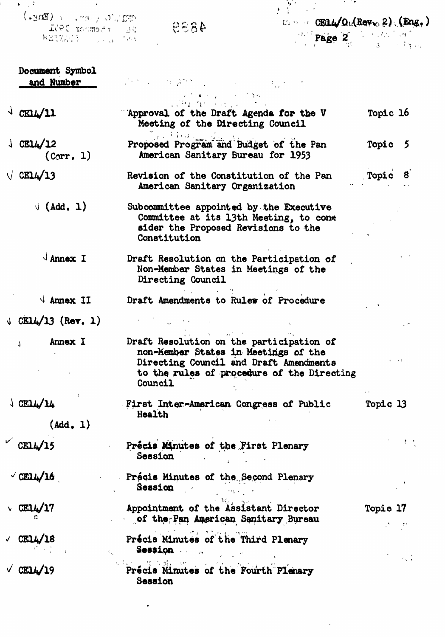|                                                                                                                                  | the property of the control of the control of          |  |
|----------------------------------------------------------------------------------------------------------------------------------|--------------------------------------------------------|--|
| $\operatorname{Cone}_{\mathcal{A}}(\mathcal{N},\mathcal{N})$ . The $\operatorname{Cone}_{\mathcal{A}}$<br>4858<br>EL FROMENT ISL | $U_{\lambda}$ or $U_{\lambda}$ CELL/Or (Rev. 2) (Eng.) |  |
| ROIXAND (P. J. J. TAN)                                                                                                           | <b>Page 2</b> Page 3 3 11 19                           |  |

| Document Symbol<br>and Number                                                 | Victoria de la provincia de la construcción de la construcción de la construcción de la construcción de la con                                                                      |                 |
|-------------------------------------------------------------------------------|-------------------------------------------------------------------------------------------------------------------------------------------------------------------------------------|-----------------|
|                                                                               | Cartham Law Contract                                                                                                                                                                |                 |
| $\frac{1}{2}$ CELL/11                                                         | 2001 At Service<br>'Approval of the Draft Agenda for the V<br>Meeting of the Directing Council                                                                                      | Topic 16        |
| $\sqrt{CEL4/12}$<br>(Corr, 1)                                                 | Proposed Program and Budget of the Pan<br>American Sanitary Bureau for 1953                                                                                                         | Topic 5         |
| $\sqrt{CEL4/13}$                                                              | Revision of the Constitution of the Pan<br>American Sanitary Organization                                                                                                           | Topic 8         |
| $\sqrt{(Add, 1)}$                                                             | Subcommittee appointed by the Executive<br>Committee at its 13th Meeting, to cone<br>sider the Proposed Revisions to the<br>Constitution                                            |                 |
| $\sqrt{\mathsf{A} \cdot \mathsf{A} \cdot \mathsf{A}}$                         | Draft Resolution on the Participation of<br>Non-Member States in Meetings of the<br>Directing Council                                                                               |                 |
| $\sqrt{\mathsf{A} \cdot \mathsf{m}}$ and $\sqrt{\mathsf{A} \cdot \mathsf{m}}$ | Draft Amendments to Rules of Procedure                                                                                                                                              |                 |
| $\sqrt{CH14/13}$ (Rev. 1)                                                     |                                                                                                                                                                                     |                 |
| Annex I<br>$\mathbf{r}$                                                       | Draft Resolution on the participation of<br>non-Member States in Meetings of the<br>Directing Council and Draft Amendments<br>to the rules of procedure of the Directing<br>Council |                 |
| $\sqrt{CETT\sqrt{TT}}$<br>(Add, 1)                                            | First Inter-American Congress of Public<br>Health                                                                                                                                   | Topic 13        |
| $\sim$ CE14/15                                                                | Précis Minutes of the First Plenary<br>Session and the session                                                                                                                      |                 |
| $\sqrt{\text{CEL4}}/16$                                                       | Précis Minutes of the Second Plenary<br>Session<br>مار بهمان ال                                                                                                                     |                 |
| $\vee$ CE14/17                                                                | $2.36 - 3.5$<br>Appointment of the Assistant Director<br>of the Pan American Sanitary Bureau                                                                                        | <b>Topic 17</b> |
| CELL/18                                                                       | Précis Minutes of the Third Plenary<br>Session and the sea                                                                                                                          |                 |
| CELL/19                                                                       | 机轻度摩擦鞋 的过去分词<br>Précis Minutes of the Fourth Plenary<br>Session                                                                                                                     | $\sim$ $\sim$   |

 $\mathcal{L}^{\text{max}}_{\text{max}}$  and  $\mathcal{L}^{\text{max}}_{\text{max}}$ 

 $\mathcal{L}^{\text{max}}_{\text{max}}$